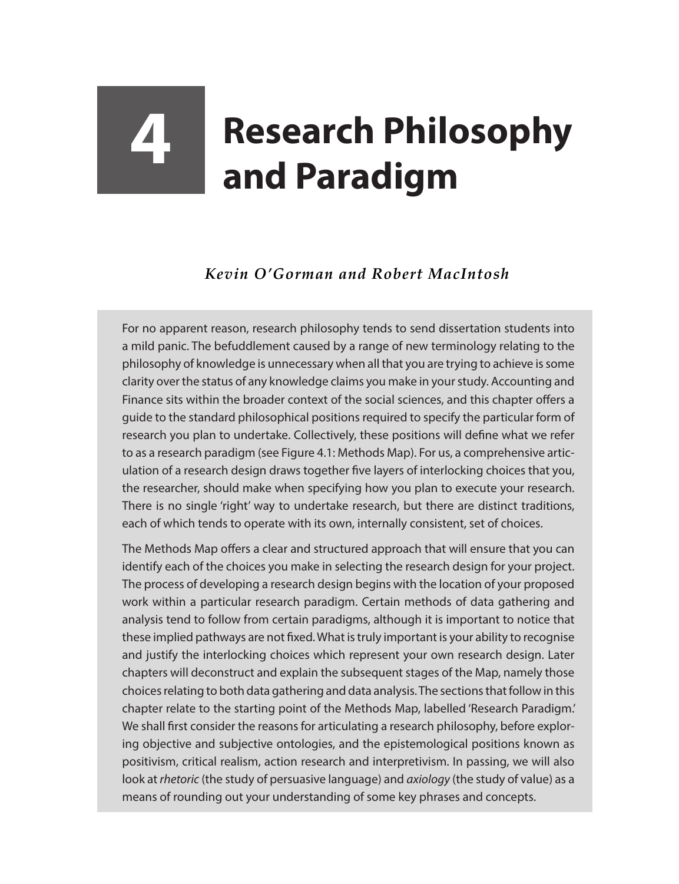## **4 Research Philosophy and Paradigm**

## *Kevin O'Gorman and Robert MacIntosh*

For no apparent reason, research philosophy tends to send dissertation students into a mild panic. The befuddlement caused by a range of new terminology relating to the philosophy of knowledge is unnecessary when all that you are trying to achieve is some clarity over the status of any knowledge claims you make in your study. Accounting and Finance sits within the broader context of the social sciences, and this chapter offers a guide to the standard philosophical positions required to specify the particular form of research you plan to undertake. Collectively, these positions will define what we refer to as a research paradigm (see Figure 4.1: Methods Map). For us, a comprehensive articulation of a research design draws together five layers of interlocking choices that you, the researcher, should make when specifying how you plan to execute your research. There is no single 'right' way to undertake research, but there are distinct traditions, each of which tends to operate with its own, internally consistent, set of choices.

The Methods Map offers a clear and structured approach that will ensure that you can identify each of the choices you make in selecting the research design for your project. The process of developing a research design begins with the location of your proposed work within a particular research paradigm. Certain methods of data gathering and analysis tend to follow from certain paradigms, although it is important to notice that these implied pathways are not fixed. What is truly important is your ability to recognise and justify the interlocking choices which represent your own research design. Later chapters will deconstruct and explain the subsequent stages of the Map, namely those choices relating to both data gathering and data analysis. The sections that follow in this chapter relate to the starting point of the Methods Map, labelled 'Research Paradigm.' We shall first consider the reasons for articulating a research philosophy, before exploring objective and subjective ontologies, and the epistemological positions known as positivism, critical realism, action research and interpretivism. In passing, we will also look at *rhetoric* (the study of persuasive language) and *axiology* (the study of value) as a means of rounding out your understanding of some key phrases and concepts.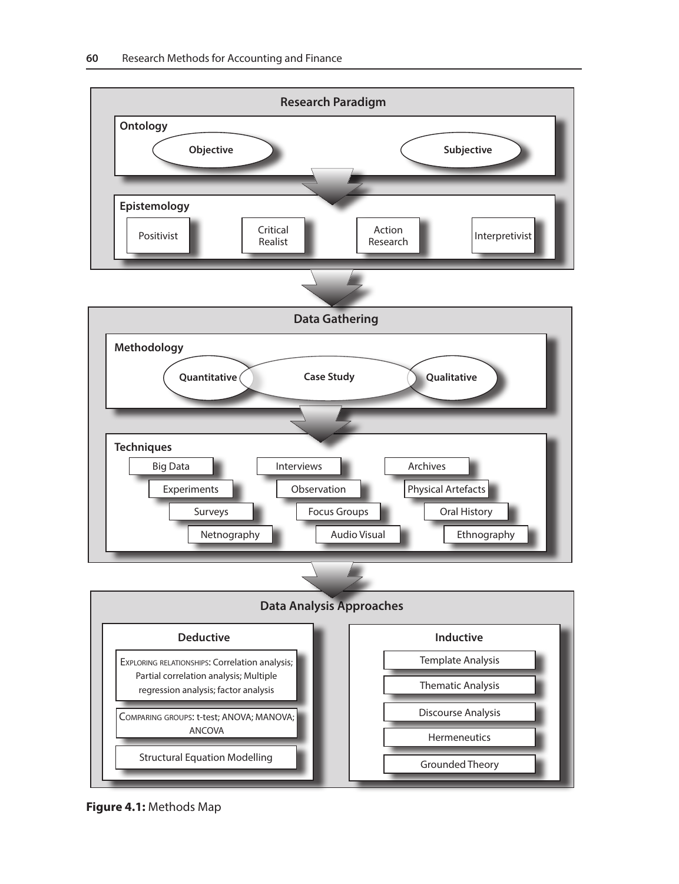

**Figure 4.1:** Methods Map